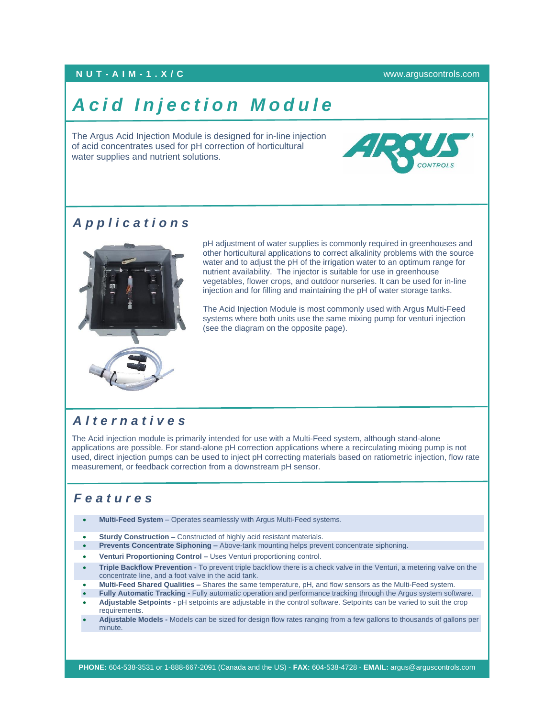#### **NUT - A I M - 1 . X / C** [www.arguscontrols.com](file:///C:/Users/afermon/AppData/Local/Microsoft/Windows/INetCache/Content.Outlook/M660HEMV/www.arguscontrols.com)

# **Acid Injection Module**

The Argus Acid Injection Module is designed for in-line injection of acid concentrates used for pH correction of horticultural water supplies and nutrient solutions.



### *A p p l i c a t i o n s*



pH adjustment of water supplies is commonly required in greenhouses and other horticultural applications to correct alkalinity problems with the source water and to adjust the pH of the irrigation water to an optimum range for nutrient availability. The injector is suitable for use in greenhouse vegetables, flower crops, and outdoor nurseries. It can be used for in-line injection and for filling and maintaining the pH of water storage tanks.

The Acid Injection Module is most commonly used with Argus Multi-Feed systems where both units use the same mixing pump for venturi injection (see the diagram on the opposite page).

### *A l t e r n a t i v e s*

The Acid injection module is primarily intended for use with a Multi-Feed system, although stand-alone applications are possible. For stand-alone pH correction applications where a recirculating mixing pump is not used, direct injection pumps can be used to inject pH correcting materials based on ratiometric injection, flow rate measurement, or feedback correction from a downstream pH sensor.

#### *F e a t u r e s*

- **Multi-Feed System** Operates seamlessly with Argus Multi-Feed systems.
- **Sturdy Construction –** Constructed of highly acid resistant materials.
- **Prevents Concentrate Siphoning –** Above-tank mounting helps prevent concentrate siphoning.
- **Venturi Proportioning Control –** Uses Venturi proportioning control.
- **Triple Backflow Prevention -** To prevent triple backflow there is a check valve in the Venturi, a metering valve on the concentrate line, and a foot valve in the acid tank.
- **Multi-Feed Shared Qualities –** Shares the same temperature, pH, and flow sensors as the Multi-Feed system.
- **Fully Automatic Tracking -** Fully automatic operation and performance tracking through the Argus system software. • **Adjustable Setpoints -** pH setpoints are adjustable in the control software. Setpoints can be varied to suit the crop
- requirements. • **Adjustable Models -** Models can be sized for design flow rates ranging from a few gallons to thousands of gallons per
- minute.

**PHONE:** 604-538-3531 or 1-888-667-2091 (Canada and the US) - **FAX:** 604-538-4728 - **EMAIL:** argus@arguscontrols.com